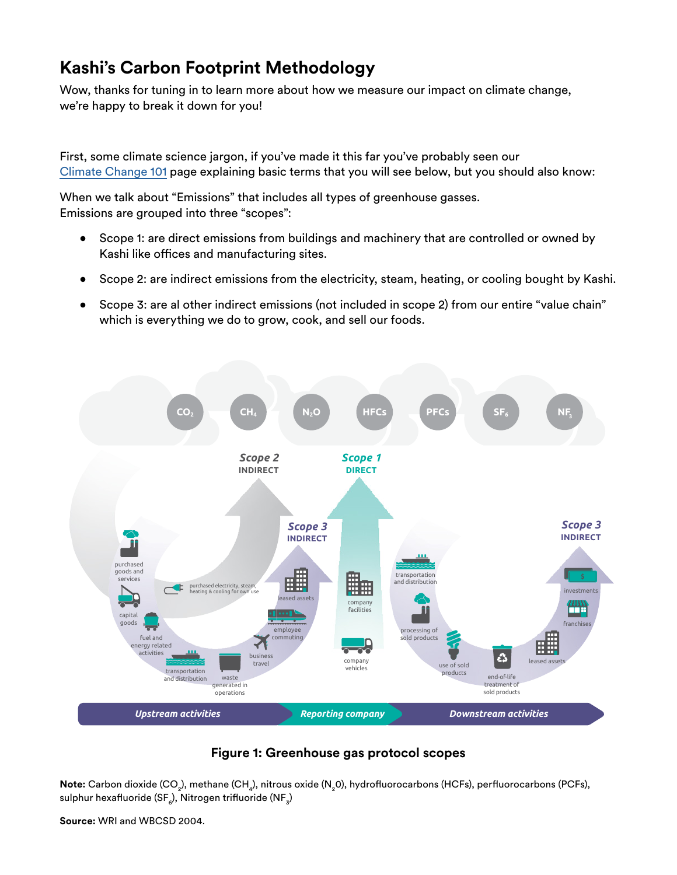# **Kashi's Carbon Footprint Methodology**

Wow, thanks for tuning in to learn more about how we measure our impact on climate change, we're happy to break it down for you!

First, some climate science jargon, if you've made it this far you've probably seen our [Climate Change 101](https://www.kashi.com/en_US/our-carbon-footprint.html) page explaining basic terms that you will see below, but you should also know:

When we talk about "Emissions" that includes all types of greenhouse gasses. Emissions are grouped into three "scopes":

- Scope 1: are direct emissions from buildings and machinery that are controlled or owned by Kashi like offices and manufacturing sites.
- Scope 2: are indirect emissions from the electricity, steam, heating, or cooling bought by Kashi.
- Scope 3: are al other indirect emissions (not included in scope 2) from our entire "value chain" which is everything we do to grow, cook, and sell our foods.



## **Figure 1: Greenhouse gas protocol scopes**

 $\sf Note\rm:}$  Carbon dioxide (CO<sub>2</sub>), methane (CH<sub>4</sub>), nitrous oxide (N<sub>2</sub>0), hydrofluorocarbons (HCFs), perfluorocarbons (PCFs), sulphur hexafluoride (SF $_{\rm e}$ ), Nitrogen trifluoride (NF $_{\rm 3}$ )

**Source:** WRI and WBCSD 2004.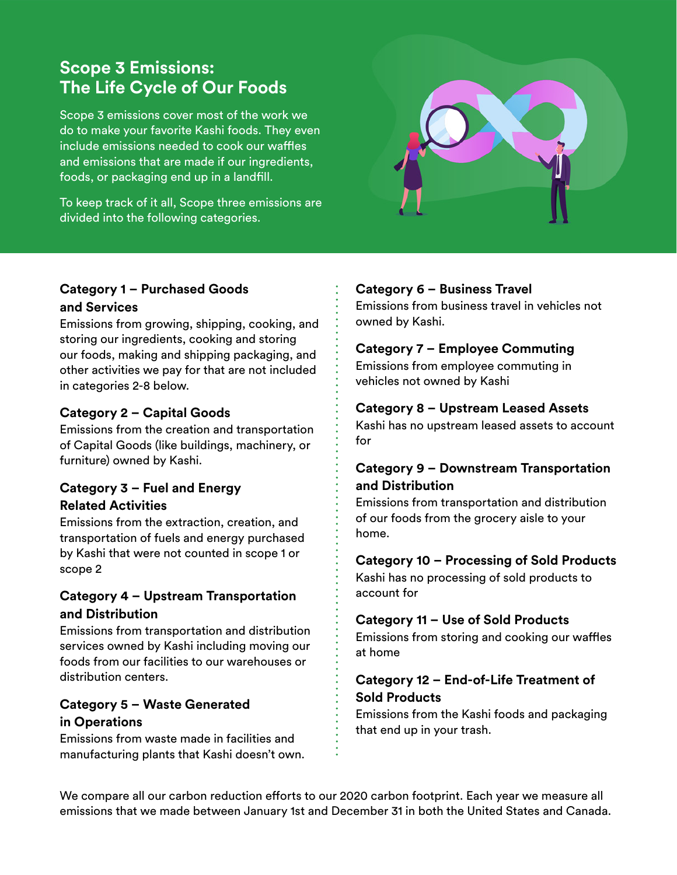# **Scope 3 Emissions: The Life Cycle of Our Foods**

Scope 3 emissions cover most of the work we do to make your favorite Kashi foods. They even include emissions needed to cook our waffles and emissions that are made if our ingredients, foods, or packaging end up in a landfill.

To keep track of it all, Scope three emissions are divided into the following categories.



#### **Category 1 – Purchased Goods and Services**

Emissions from growing, shipping, cooking, and storing our ingredients, cooking and storing our foods, making and shipping packaging, and other activities we pay for that are not included in categories 2-8 below.

# **Category 2 – Capital Goods**

Emissions from the creation and transportation of Capital Goods (like buildings, machinery, or furniture) owned by Kashi.

# **Category 3 – Fuel and Energy Related Activities**

Emissions from the extraction, creation, and transportation of fuels and energy purchased by Kashi that were not counted in scope 1 or scope 2

# **Category 4 – Upstream Transportation and Distribution**

Emissions from transportation and distribution services owned by Kashi including moving our foods from our facilities to our warehouses or distribution centers.

# **Category 5 – Waste Generated in Operations**

Emissions from waste made in facilities and manufacturing plants that Kashi doesn't own.

# **Category 6 – Business Travel**

Emissions from business travel in vehicles not owned by Kashi.

# **Category 7 – Employee Commuting**

Emissions from employee commuting in vehicles not owned by Kashi

# **Category 8 – Upstream Leased Assets**

Kashi has no upstream leased assets to account for

# **Category 9 – Downstream Transportation and Distribution**

Emissions from transportation and distribution of our foods from the grocery aisle to your home.

## **Category 10 – Processing of Sold Products**

Kashi has no processing of sold products to account for

## **Category 11 – Use of Sold Products**

Emissions from storing and cooking our waffles at home

# **Category 12 – End-of-Life Treatment of Sold Products**

Emissions from the Kashi foods and packaging that end up in your trash.

We compare all our carbon reduction efforts to our 2020 carbon footprint. Each year we measure all emissions that we made between January 1st and December 31 in both the United States and Canada.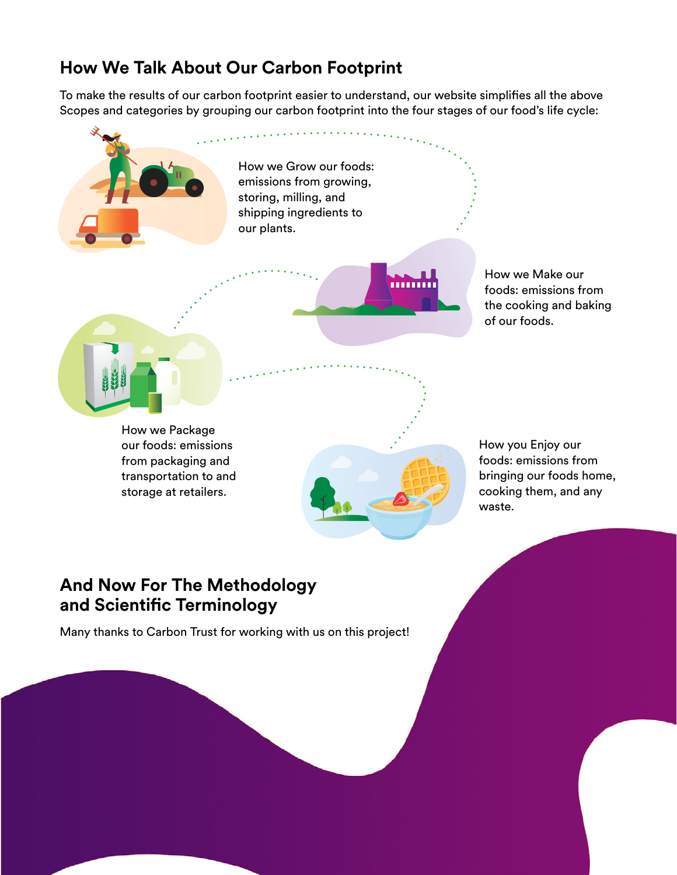# **How We Talk About Our Carbon Footprint**

To make the results of our carbon footprint easier to understand, our website simplifies all the above Scopes and categories by grouping our carbon footprint into the four stages of our food's life cycle:

> How we Grow our foods: emissions from growing, storing, milling, and shipping ingredients to our plants.



How we Make our foods: emissions from the cooking and baking of our foods.



storage at retailers.



How you Enjoy our foods: emissions from bringing our foods home, cooking them, and any waste.

# **And Now For The Methodology and Scientific Terminology**

Many thanks to Carbon Trust for working with us on this project!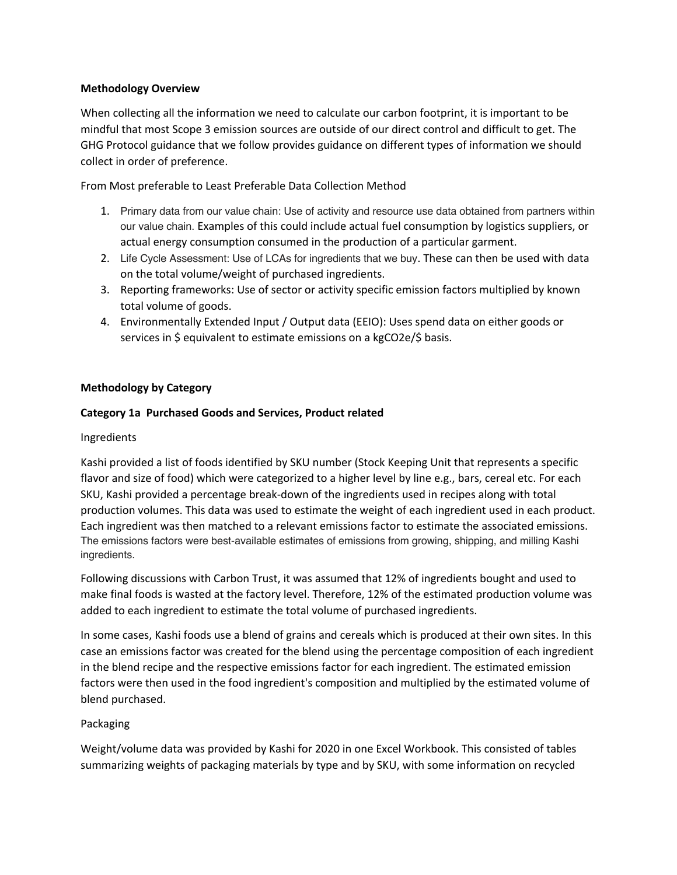#### **Methodology Overview**

When collecting all the information we need to calculate our carbon footprint, it is important to be mindful that most Scope 3 emission sources are outside of our direct control and difficult to get. The GHG Protocol guidance that we follow provides guidance on different types of information we should collect in order of preference.

From Most preferable to Least Preferable Data Collection Method

- 1. Primary data from our value chain: Use of activity and resource use data obtained from partners within our value chain. Examples of this could include actual fuel consumption by logistics suppliers, or actual energy consumption consumed in the production of a particular garment.
- 2. Life Cycle Assessment: Use of LCAs for ingredients that we buy. These can then be used with data on the total volume/weight of purchased ingredients.
- 3. Reporting frameworks: Use of sector or activity specific emission factors multiplied by known total volume of goods.
- 4. Environmentally Extended Input / Output data (EEIO): Uses spend data on either goods or services in \$ equivalent to estimate emissions on a kgCO2e/\$ basis.

#### **Methodology by Category**

#### **Category 1a Purchased Goods and Services, Product related**

#### Ingredients

Kashi provided a list of foods identified by SKU number (Stock Keeping Unit that represents a specific flavor and size of food) which were categorized to a higher level by line e.g., bars, cereal etc. For each SKU, Kashi provided a percentage break-down of the ingredients used in recipes along with total production volumes. This data was used to estimate the weight of each ingredient used in each product. Each ingredient was then matched to a relevant emissions factor to estimate the associated emissions. The emissions factors were best-available estimates of emissions from growing, shipping, and milling Kashi ingredients.

Following discussions with Carbon Trust, it was assumed that 12% of ingredients bought and used to make final foods is wasted at the factory level. Therefore, 12% of the estimated production volume was added to each ingredient to estimate the total volume of purchased ingredients.

In some cases, Kashi foods use a blend of grains and cereals which is produced at their own sites. In this case an emissions factor was created for the blend using the percentage composition of each ingredient in the blend recipe and the respective emissions factor for each ingredient. The estimated emission factors were then used in the food ingredient's composition and multiplied by the estimated volume of blend purchased.

#### Packaging

Weight/volume data was provided by Kashi for 2020 in one Excel Workbook. This consisted of tables summarizing weights of packaging materials by type and by SKU, with some information on recycled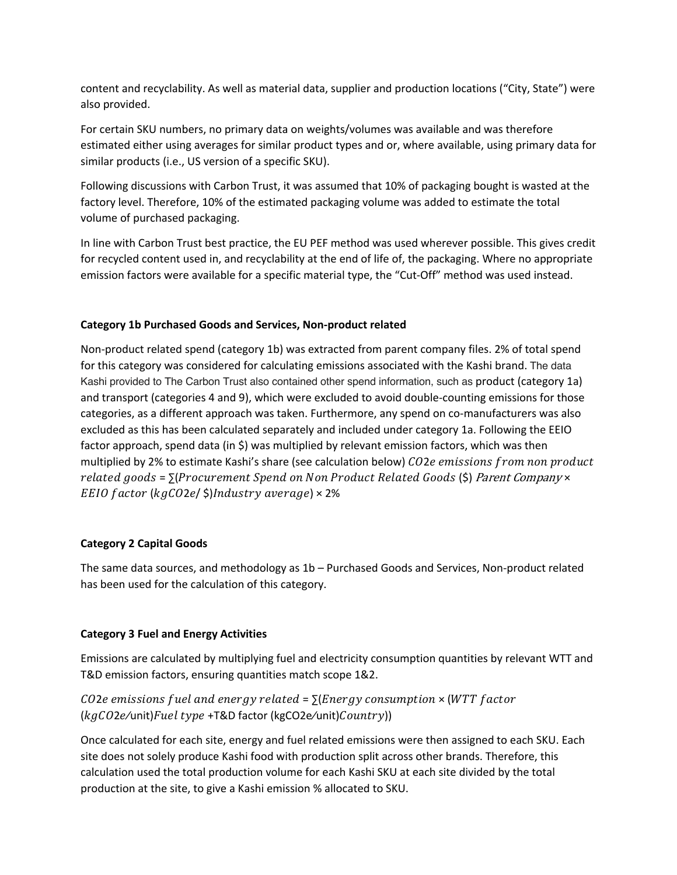content and recyclability. As well as material data, supplier and production locations ("City, State") were also provided.

For certain SKU numbers, no primary data on weights/volumes was available and was therefore estimated either using averages for similar product types and or, where available, using primary data for similar products (i.e., US version of a specific SKU).

Following discussions with Carbon Trust, it was assumed that 10% of packaging bought is wasted at the factory level. Therefore, 10% of the estimated packaging volume was added to estimate the total volume of purchased packaging.

In line with Carbon Trust best practice, the EU PEF method was used wherever possible. This gives credit for recycled content used in, and recyclability at the end of life of, the packaging. Where no appropriate emission factors were available for a specific material type, the "Cut-Off" method was used instead.

### **Category 1b Purchased Goods and Services, Non-product related**

Non-product related spend (category 1b) was extracted from parent company files. 2% of total spend for this category was considered for calculating emissions associated with the Kashi brand. The data Kashi provided to The Carbon Trust also contained other spend information, such as product (category 1a) and transport (categories 4 and 9), which were excluded to avoid double-counting emissions for those categories, as a different approach was taken. Furthermore, any spend on co-manufacturers was also excluded as this has been calculated separately and included under category 1a. Following the EEIO factor approach, spend data (in \$) was multiplied by relevant emission factors, which was then multiplied by 2% to estimate Kashi's share (see calculation below) CO2e emissions from non product related goods =  $\Sigma$ (Procurement Spend on Non Product Related Goods (\$) Parent Company  $\times$ EEIO factor ( $kgCO$ 2e/ $\frac{1}{2}$ )Industry average) × 2%

#### **Category 2 Capital Goods**

The same data sources, and methodology as 1b – Purchased Goods and Services, Non-product related has been used for the calculation of this category.

#### **Category 3 Fuel and Energy Activities**

Emissions are calculated by multiplying fuel and electricity consumption quantities by relevant WTT and T&D emission factors, ensuring quantities match scope 1&2.

## $CO2e$  emissions fuel and energy related =  $\sum$ [Energy consumption  $\times$  (WTT factor  $(kgCO2e$ /unit)  $Fuel$  type +T&D factor (kgCO2e/unit)  $Country$ ))

Once calculated for each site, energy and fuel related emissions were then assigned to each SKU. Each site does not solely produce Kashi food with production split across other brands. Therefore, this calculation used the total production volume for each Kashi SKU at each site divided by the total production at the site, to give a Kashi emission % allocated to SKU.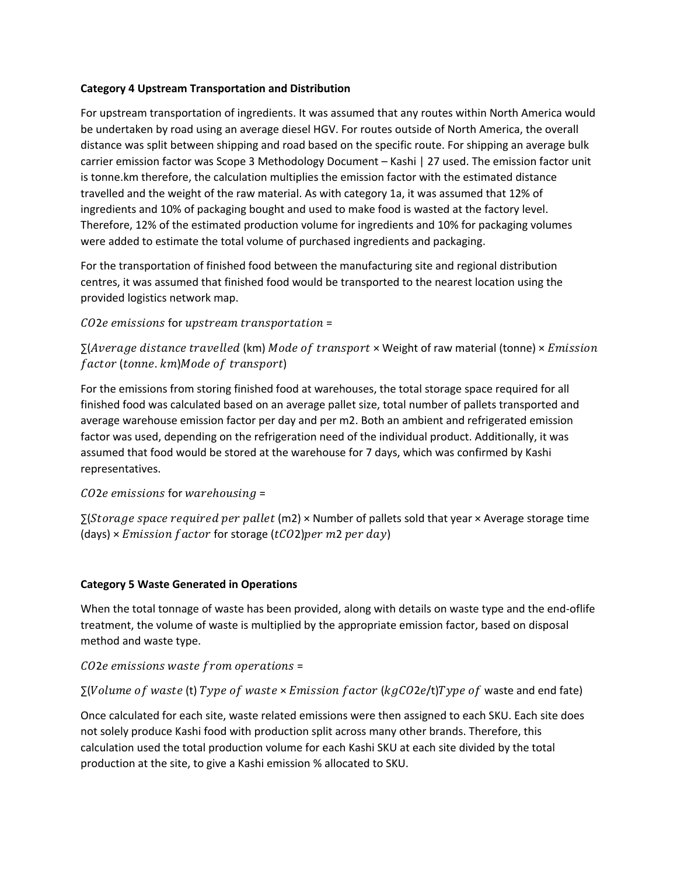#### **Category 4 Upstream Transportation and Distribution**

For upstream transportation of ingredients. It was assumed that any routes within North America would be undertaken by road using an average diesel HGV. For routes outside of North America, the overall distance was split between shipping and road based on the specific route. For shipping an average bulk carrier emission factor was Scope 3 Methodology Document – Kashi | 27 used. The emission factor unit is tonne.km therefore, the calculation multiplies the emission factor with the estimated distance travelled and the weight of the raw material. As with category 1a, it was assumed that 12% of ingredients and 10% of packaging bought and used to make food is wasted at the factory level. Therefore, 12% of the estimated production volume for ingredients and 10% for packaging volumes were added to estimate the total volume of purchased ingredients and packaging.

For the transportation of finished food between the manufacturing site and regional distribution centres, it was assumed that finished food would be transported to the nearest location using the provided logistics network map.

### $CO2e$  emissions for upstream transportation =

 $\Sigma(Average distance travelled (km) Mode of transport \times Weight of raw material (tonne) \times Emission$ factor (tonne. km)Mode of transport)

For the emissions from storing finished food at warehouses, the total storage space required for all finished food was calculated based on an average pallet size, total number of pallets transported and average warehouse emission factor per day and per m2. Both an ambient and refrigerated emission factor was used, depending on the refrigeration need of the individual product. Additionally, it was assumed that food would be stored at the warehouse for 7 days, which was confirmed by Kashi representatives.

### $CO2e$  emissions for warehousing =

∑(Storage space required per pallet (m2) × Number of pallets sold that year × Average storage time (days)  $\times$  *Emission factor* for storage (tCO2) per m2 per day)

### **Category 5 Waste Generated in Operations**

When the total tonnage of waste has been provided, along with details on waste type and the end-oflife treatment, the volume of waste is multiplied by the appropriate emission factor, based on disposal method and waste type.

### $CO2e$  emissions waste from operations =

### $\Sigma$ (Volume of waste (t) Type of waste  $\times$  Emission factor (kgCO2e/t)Type of waste and end fate)

Once calculated for each site, waste related emissions were then assigned to each SKU. Each site does not solely produce Kashi food with production split across many other brands. Therefore, this calculation used the total production volume for each Kashi SKU at each site divided by the total production at the site, to give a Kashi emission % allocated to SKU.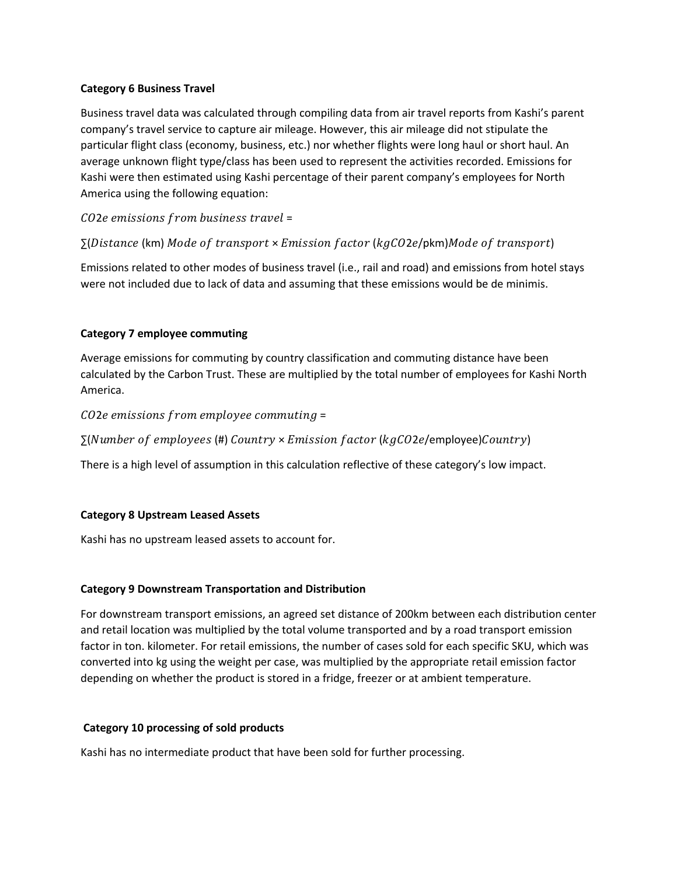#### **Category 6 Business Travel**

Business travel data was calculated through compiling data from air travel reports from Kashi's parent company's travel service to capture air mileage. However, this air mileage did not stipulate the particular flight class (economy, business, etc.) nor whether flights were long haul or short haul. An average unknown flight type/class has been used to represent the activities recorded. Emissions for Kashi were then estimated using Kashi percentage of their parent company's employees for North America using the following equation:

CO2e emissions from business travel =

 $\Sigma(Distance$  (km) Mode of transport × Emission factor (kgCO2e/pkm)Mode of transport)

Emissions related to other modes of business travel (i.e., rail and road) and emissions from hotel stays were not included due to lack of data and assuming that these emissions would be de minimis.

#### **Category 7 employee commuting**

Average emissions for commuting by country classification and commuting distance have been calculated by the Carbon Trust. These are multiplied by the total number of employees for Kashi North America.

 $CO2e$  emissions from employee commuting =

 $\Sigma(Number$  of employees (#) Country  $\times$  Emission factor (kgCO2e/employee)Country)

There is a high level of assumption in this calculation reflective of these category's low impact.

#### **Category 8 Upstream Leased Assets**

Kashi has no upstream leased assets to account for.

#### **Category 9 Downstream Transportation and Distribution**

For downstream transport emissions, an agreed set distance of 200km between each distribution center and retail location was multiplied by the total volume transported and by a road transport emission factor in ton. kilometer. For retail emissions, the number of cases sold for each specific SKU, which was converted into kg using the weight per case, was multiplied by the appropriate retail emission factor depending on whether the product is stored in a fridge, freezer or at ambient temperature.

#### **Category 10 processing of sold products**

Kashi has no intermediate product that have been sold for further processing.